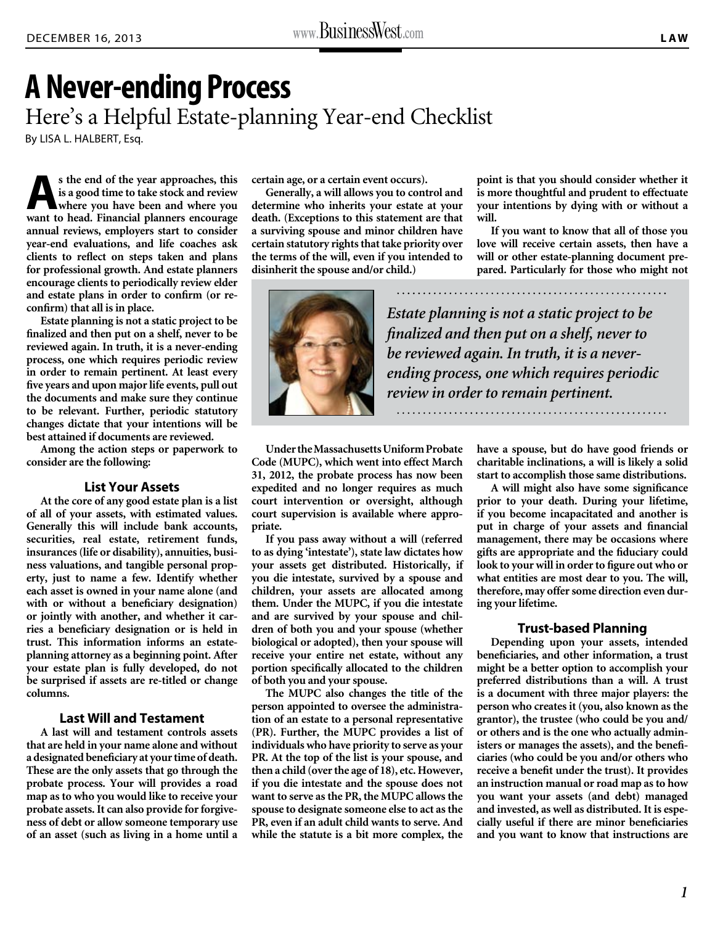# **A Never-ending Process** Here's a Helpful Estate-planning Year-end Checklist By LISA L. HALBERT, Esq.

**As the end of the year approaches, this is a good time to take stock and review where you have been and where you want to head. Financial planners encourage annual reviews, employers start to consider year-end evaluations, and life coaches ask clients to reflect on steps taken and plans for professional growth. And estate planners encourage clients to periodically review elder and estate plans in order to confirm (or reconfirm) that all is in place.** 

**Estate planning is not a static project to be finalized and then put on a shelf, never to be reviewed again. In truth, it is a never-ending process, one which requires periodic review in order to remain pertinent. At least every five years and upon major life events, pull out the documents and make sure they continue to be relevant. Further, periodic statutory changes dictate that your intentions will be best attained if documents are reviewed.**

**Among the action steps or paperwork to consider are the following:** 

#### **List Your Assets**

**At the core of any good estate plan is a list of all of your assets, with estimated values. Generally this will include bank accounts, securities, real estate, retirement funds, insurances (life or disability), annuities, business valuations, and tangible personal property, just to name a few. Identify whether each asset is owned in your name alone (and with or without a beneficiary designation) or jointly with another, and whether it carries a beneficiary designation or is held in trust. This information informs an estateplanning attorney as a beginning point. After your estate plan is fully developed, do not be surprised if assets are re-titled or change columns.**

#### **Last Will and Testament**

**A last will and testament controls assets that are held in your name alone and without a designated beneficiary at your time of death. These are the only assets that go through the probate process. Your will provides a road map as to who you would like to receive your probate assets. It can also provide for forgiveness of debt or allow someone temporary use of an asset (such as living in a home until a**  **certain age, or a certain event occurs).**

**Generally, a will allows you to control and determine who inherits your estate at your death. (Exceptions to this statement are that a surviving spouse and minor children have certain statutory rights that take priority over the terms of the will, even if you intended to disinherit the spouse and/or child.)**

**point is that you should consider whether it is more thoughtful and prudent to effectuate your intentions by dying with or without a will.** 

**If you want to know that all of those you love will receive certain assets, then have a will or other estate-planning document prepared. Particularly for those who might not** 



*Estate planning is not a static project to be finalized and then put on a shelf, never to be reviewed again. In truth, it is a neverending process, one which requires periodic review in order to remain pertinent.*

**Under the Massachusetts Uniform Probate Code (MUPC), which went into effect March 31, 2012, the probate process has now been expedited and no longer requires as much court intervention or oversight, although court supervision is available where appropriate.**

**If you pass away without a will (referred to as dying 'intestate'), state law dictates how your assets get distributed. Historically, if you die intestate, survived by a spouse and children, your assets are allocated among them. Under the MUPC, if you die intestate and are survived by your spouse and children of both you and your spouse (whether biological or adopted), then your spouse will receive your entire net estate, without any portion specifically allocated to the children of both you and your spouse.**

**The MUPC also changes the title of the person appointed to oversee the administration of an estate to a personal representative (PR). Further, the MUPC provides a list of individuals who have priority to serve as your PR. At the top of the list is your spouse, and then a child (over the age of 18), etc. However, if you die intestate and the spouse does not want to serve as the PR, the MUPC allows the spouse to designate someone else to act as the PR, even if an adult child wants to serve. And while the statute is a bit more complex, the**  **have a spouse, but do have good friends or charitable inclinations, a will is likely a solid start to accomplish those same distributions.**

**A will might also have some significance prior to your death. During your lifetime, if you become incapacitated and another is put in charge of your assets and financial management, there may be occasions where gifts are appropriate and the fiduciary could look to your will in order to figure out who or what entities are most dear to you. The will, therefore, may offer some direction even during your lifetime.**

#### **Trust-based Planning**

**Depending upon your assets, intended beneficiaries, and other information, a trust might be a better option to accomplish your preferred distributions than a will. A trust is a document with three major players: the person who creates it (you, also known as the grantor), the trustee (who could be you and/ or others and is the one who actually administers or manages the assets), and the beneficiaries (who could be you and/or others who receive a benefit under the trust). It provides an instruction manual or road map as to how you want your assets (and debt) managed and invested, as well as distributed. It is especially useful if there are minor beneficiaries and you want to know that instructions are**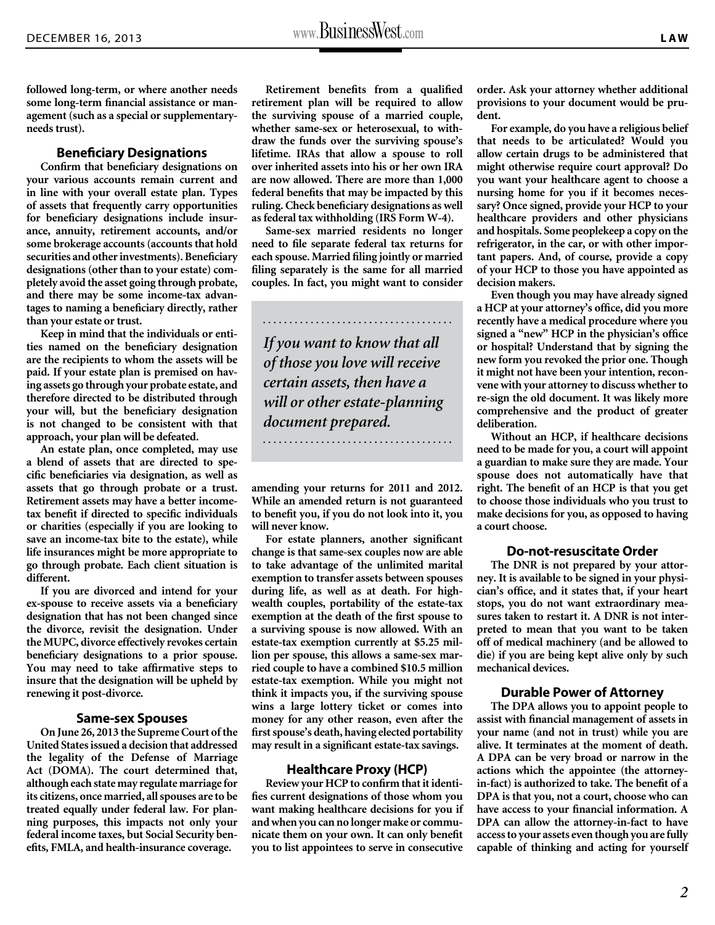**followed long-term, or where another needs some long-term financial assistance or management (such as a special or supplementaryneeds trust).**

## **Beneficiary Designations**

**Confirm that beneficiary designations on your various accounts remain current and in line with your overall estate plan. Types of assets that frequently carry opportunities for beneficiary designations include insurance, annuity, retirement accounts, and/or some brokerage accounts (accounts that hold securities and other investments). Beneficiary designations (other than to your estate) completely avoid the asset going through probate, and there may be some income-tax advantages to naming a beneficiary directly, rather than your estate or trust.**

**Keep in mind that the individuals or entities named on the beneficiary designation are the recipients to whom the assets will be paid. If your estate plan is premised on having assets go through your probate estate, and therefore directed to be distributed through your will, but the beneficiary designation is not changed to be consistent with that approach, your plan will be defeated.** 

**An estate plan, once completed, may use a blend of assets that are directed to specific beneficiaries via designation, as well as assets that go through probate or a trust. Retirement assets may have a better incometax benefit if directed to specific individuals or charities (especially if you are looking to save an income-tax bite to the estate), while life insurances might be more appropriate to go through probate. Each client situation is different.** 

**If you are divorced and intend for your ex-spouse to receive assets via a beneficiary designation that has not been changed since the divorce, revisit the designation. Under the MUPC, divorce effectively revokes certain beneficiary designations to a prior spouse. You may need to take affirmative steps to insure that the designation will be upheld by renewing it post-divorce.**

## **Same-sex Spouses**

**On June 26, 2013 the Supreme Court of the United States issued a decision that addressed the legality of the Defense of Marriage Act (DOMA). The court determined that, although each state may regulate marriage for its citizens, once married, all spouses are to be treated equally under federal law. For planning purposes, this impacts not only your federal income taxes, but Social Security benefits, FMLA, and health-insurance coverage.**

**Retirement benefits from a qualified retirement plan will be required to allow the surviving spouse of a married couple, whether same-sex or heterosexual, to withdraw the funds over the surviving spouse's lifetime. IRAs that allow a spouse to roll over inherited assets into his or her own IRA are now allowed. There are more than 1,000 federal benefits that may be impacted by this ruling. Check beneficiary designations as well as federal tax withholding (IRS Form W-4).**

**Same-sex married residents no longer need to file separate federal tax returns for each spouse. Married filing jointly or married filing separately is the same for all married couples. In fact, you might want to consider** 

*If you want to know that all of those you love will receive certain assets, then have a will or other estate-planning document prepared.*

**amending your returns for 2011 and 2012. While an amended return is not guaranteed to benefit you, if you do not look into it, you will never know.** 

**For estate planners, another significant change is that same-sex couples now are able to take advantage of the unlimited marital exemption to transfer assets between spouses during life, as well as at death. For highwealth couples, portability of the estate-tax exemption at the death of the first spouse to a surviving spouse is now allowed. With an estate-tax exemption currently at \$5.25 million per spouse, this allows a same-sex married couple to have a combined \$10.5 million estate-tax exemption. While you might not think it impacts you, if the surviving spouse wins a large lottery ticket or comes into money for any other reason, even after the first spouse's death, having elected portability may result in a significant estate-tax savings.** 

#### **Healthcare Proxy (HCP)**

**Review your HCP to confirm that it identifies current designations of those whom you want making healthcare decisions for you if and when you can no longer make or communicate them on your own. It can only benefit you to list appointees to serve in consecutive** 

**order. Ask your attorney whether additional provisions to your document would be prudent.**

**For example, do you have a religious belief that needs to be articulated? Would you allow certain drugs to be administered that might otherwise require court approval? Do you want your healthcare agent to choose a nursing home for you if it becomes necessary? Once signed, provide your HCP to your healthcare providers and other physicians and hospitals. Some peoplekeep a copy on the refrigerator, in the car, or with other important papers. And, of course, provide a copy of your HCP to those you have appointed as decision makers.** 

**Even though you may have already signed a HCP at your attorney's office, did you more recently have a medical procedure where you signed a "new" HCP in the physician's office or hospital? Understand that by signing the new form you revoked the prior one. Though it might not have been your intention, reconvene with your attorney to discuss whether to re-sign the old document. It was likely more comprehensive and the product of greater deliberation.**

**Without an HCP, if healthcare decisions need to be made for you, a court will appoint a guardian to make sure they are made. Your spouse does not automatically have that right. The benefit of an HCP is that you get to choose those individuals who you trust to make decisions for you, as opposed to having a court choose.** 

## **Do-not-resuscitate Order**

**The DNR is not prepared by your attorney. It is available to be signed in your physician's office, and it states that, if your heart stops, you do not want extraordinary measures taken to restart it. A DNR is not interpreted to mean that you want to be taken off of medical machinery (and be allowed to die) if you are being kept alive only by such mechanical devices.**

## **Durable Power of Attorney**

**The DPA allows you to appoint people to assist with financial management of assets in your name (and not in trust) while you are alive. It terminates at the moment of death. A DPA can be very broad or narrow in the actions which the appointee (the attorneyin-fact) is authorized to take. The benefit of a DPA is that you, not a court, choose who can have access to your financial information. A DPA can allow the attorney-in-fact to have access to your assets even though you are fully capable of thinking and acting for yourself**